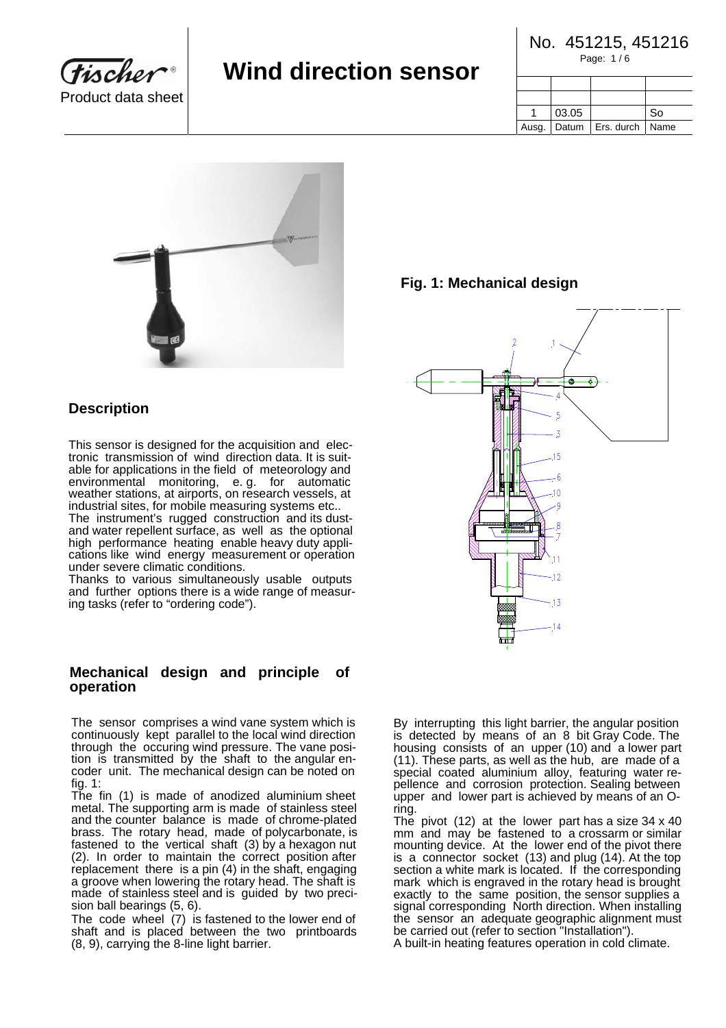**Tischer** Product data sheet

# **Wind direction sensor**

| No. 451215, 451216 |
|--------------------|
| Page: 1/6          |

| 03.05 |                                   | So. |
|-------|-----------------------------------|-----|
|       | Ausg.   Datum   Ers. durch   Name |     |



# **Description**

This sensor is designed for the acquisition and electronic transmission of wind direction data. It is suitable for applications in the field of meteorology and environmental monitoring, e. g. for automatic weather stations, at airports, on research vessels, at industrial sites, for mobile measuring systems etc..

The instrument's rugged construction and its dustand water repellent surface, as well as the optional high performance heating enable heavy duty applications like wind energy measurement or operation under severe climatic conditions.

Thanks to various simultaneously usable outputs and further options there is a wide range of measuring tasks (refer to "ordering code").

### **Mechanical design and principle of operation**

The sensor comprises a wind vane system which is continuously kept parallel to the local wind direction through the occuring wind pressure. The vane position is transmitted by the shaft to the angular encoder unit. The mechanical design can be noted on fig. 1:

The fin (1) is made of anodized aluminium sheet metal. The supporting arm is made of stainless steel and the counter balance is made of chrome-plated brass. The rotary head, made of polycarbonate, is fastened to the vertical shaft (3) by a hexagon nut (2). In order to maintain the correct position after replacement there is a pin (4) in the shaft, engaging a groove when lowering the rotary head. The shaft is made of stainless steel and is guided by two precision ball bearings (5, 6).

The code wheel (7) is fastened to the lower end of shaft and is placed between the two printboards (8, 9), carrying the 8-line light barrier.



By interrupting this light barrier, the angular position is detected by means of an 8 bit Gray Code. The housing consists of an upper (10) and a lower part (11). These parts, as well as the hub, are made of a special coated aluminium alloy, featuring water repellence and corrosion protection. Sealing between upper and lower part is achieved by means of an Oring.

The pivot (12) at the lower part has a size 34 x 40 mm and may be fastened to a crossarm or similar mounting device. At the lower end of the pivot there is a connector socket (13) and plug (14). At the top section a white mark is located. If the corresponding mark which is engraved in the rotary head is brought exactly to the same position, the sensor supplies a signal corresponding North direction. When installing the sensor an adequate geographic alignment must be carried out (refer to section "Installation").

A built-in heating features operation in cold climate.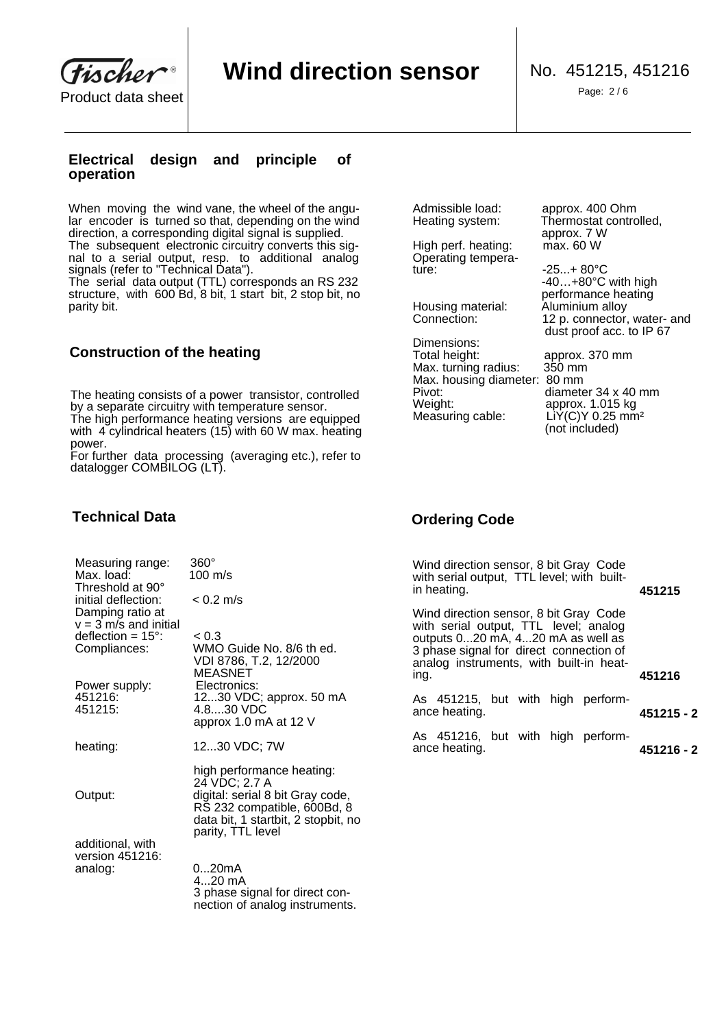**Tischer** Product data sheet | with the state of the state of the state of the state of the Page: 2/6

parity bit.

## **Electrical design and principle of operation**

When moving the wind vane, the wheel of the angular encoder is turned so that, depending on the wind direction, a corresponding digital signal is supplied. The subsequent electronic circuitry converts this signal to a serial output, resp. to additional analog signals (refer to "Technical Data"). The serial data output (TTL) corresponds an RS 232 structure, with 600 Bd, 8 bit, 1 start bit, 2 stop bit, no

# **Construction of the heating**

The heating consists of a power transistor, controlled by a separate circuitry with temperature sensor. The high performance heating versions are equipped with 4 cylindrical heaters (15) with 60 W max. heating power.

For further data processing (averaging etc.), refer to datalogger COMBILOG (LT).

High perf. heating: Operating tempera-

Housing material: Aluminium alloy

Dimensions:<br>Total height: Max. turning radius: Max. housing diameter: 80 mm Pivot: diameter 34 x 40 mm<br>Weight: diameter 34 x 40 mm Weight: approx. 1.015 kg Measuring cable: LiY(C)Y 0.25 mm<sup>2</sup>

Admissible load: approx. 400 Ohm<br>Heating system: Thermostat contro Thermostat controlled, approx. 7 W<br>max. 60 W

 $-25...+80°C$  -40…+80°C with high performance heating Connection: 12 p. connector, water- and dust proof acc. to IP 67

> approx. 370 mm<br>350 mm (not included)

# **Technical Data**

| Measuring range:<br>Max. load:<br>Threshold at 90°                   | 360°<br>100 m/s                                                                                                                                                           |
|----------------------------------------------------------------------|---------------------------------------------------------------------------------------------------------------------------------------------------------------------------|
| initial deflection:<br>Damping ratio at                              | $< 0.2$ m/s                                                                                                                                                               |
| $v = 3$ m/s and initial<br>deflection = $15^\circ$ :<br>Compliances: | < 0.3<br>WMO Guide No. 8/6 th ed.<br>VDI 8786, T.2, 12/2000                                                                                                               |
| Power supply:<br>451216:<br>451215:                                  | MEASNET<br>Electronics:<br>1230 VDC; approx. 50 mA<br>4.830 VDC<br>approx 1.0 mA at 12 V                                                                                  |
| heating:                                                             | 1230 VDC; 7W                                                                                                                                                              |
| Output:                                                              | high performance heating:<br>24 VDC; 2.7 A<br>digital: serial 8 bit Gray code,<br>RŠ 232 compatible, 600Bd, 8<br>data bit, 1 startbit, 2 stopbit, no<br>parity, TTL level |
| additional, with<br>version 451216:                                  |                                                                                                                                                                           |
| analog:                                                              | 020mA<br>$420$ mA<br>3 phase signal for direct con-<br>nection of analog instruments.                                                                                     |

# **Ordering Code**

|                                 | Wind direction sensor, 8 bit Gray Code<br>with serial output, TTL level; with built-<br>in heating.                                                                                                                | 451215     |
|---------------------------------|--------------------------------------------------------------------------------------------------------------------------------------------------------------------------------------------------------------------|------------|
| h ed.<br>)ဂ                     | Wind direction sensor, 8 bit Gray Code<br>with serial output, TTL level; analog<br>outputs 020 mA, 420 mA as well as<br>3 phase signal for direct connection of<br>analog instruments, with built-in heat-<br>ing. | 451216     |
| 50 mA                           | As 451215, but with high perform-<br>ance heating.                                                                                                                                                                 | 451215 - 2 |
|                                 | As 451216, but with high perform-<br>ance heating.                                                                                                                                                                 | 451216 - 2 |
| iting:                          |                                                                                                                                                                                                                    |            |
| the contract of the contract of |                                                                                                                                                                                                                    |            |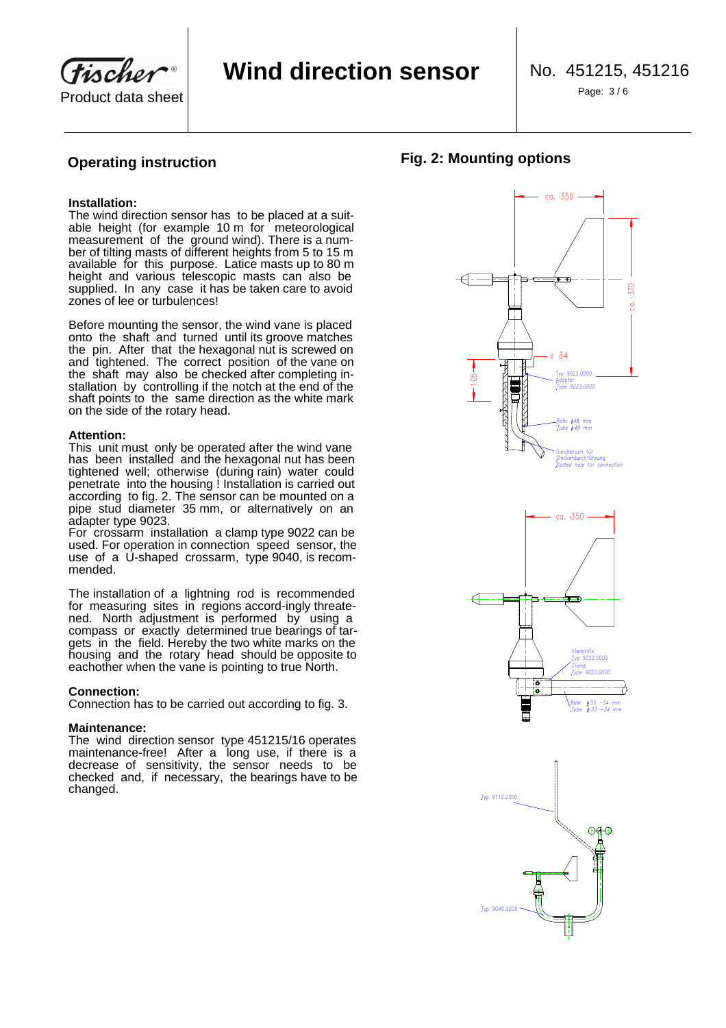Tischer Product data sheet

Page: 3 / 6

#### **Installation:**

The wind direction sensor has to be placed at a suitable height (for example 10 m for meteorological measurement of the ground wind). There is a number of tilting masts of different heights from 5 to 15 m available for this purpose. Latice masts up to 80 m height and various telescopic masts can also be supplied. In any case it has be taken care to avoid zones of lee or turbulences!

Before mounting the sensor, the wind vane is placed onto the shaft and turned until its groove matches the pin. After that the hexagonal nut is screwed on and tightened. The correct position of the vane on the shaft may also be checked after completing installation by controlling if the notch at the end of the shaft points to the same direction as the white mark on the side of the rotary head.

#### **Attention:**

This unit must only be operated after the wind vane has been installed and the hexagonal nut has been tightened well; otherwise (during rain) water could penetrate into the housing ! Installation is carried out according to fig. 2. The sensor can be mounted on a pipe stud diameter 35 mm, or alternatively on an adapter type 9023.

For crossarm installation a clamp type 9022 can be used. For operation in connection speed sensor, the use of a U-shaped crossarm, type 9040, is recommended.

The installation of a lightning rod is recommended for measuring sites in regions accord-ingly threatened. North adjustment is performed by using a compass or exactly determined true bearings of targets in the field. Hereby the two white marks on the housing and the rotary head should be opposite to eachother when the vane is pointing to true North.

### **Connection:**

Connection has to be carried out according to fig. 3.

### **Maintenance:**

The wind direction sensor type 451215/16 operates maintenance-free! After a long use, if there is a decrease of sensitivity, the sensor needs to be checked and, if necessary, the bearings have to be changed.





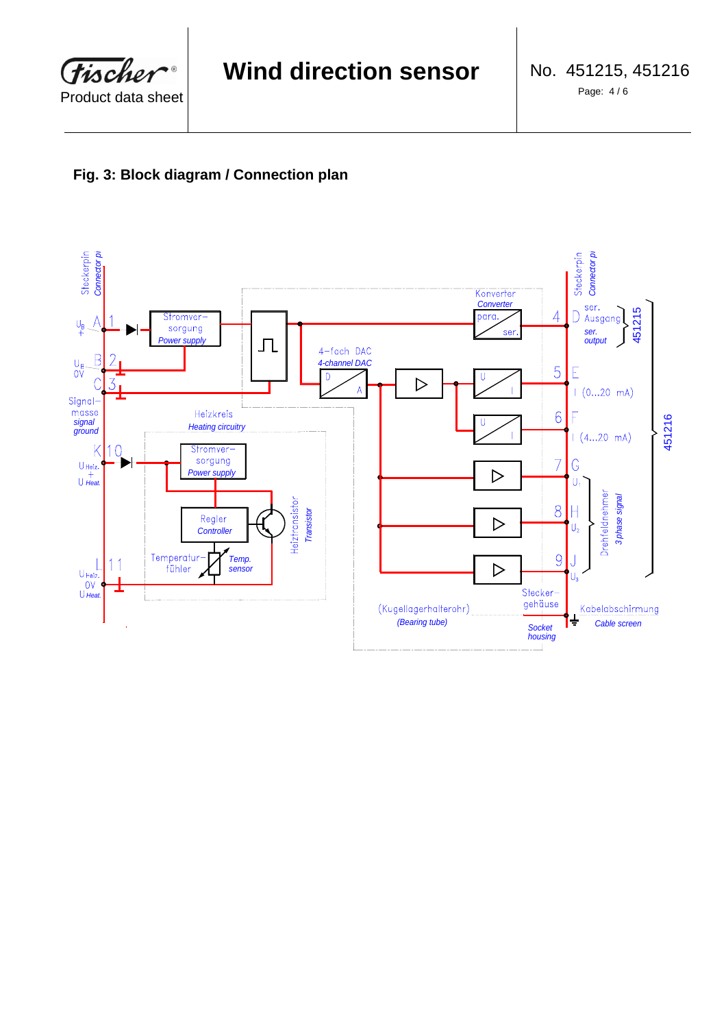

# **Fig. 3: Block diagram / Connection plan**

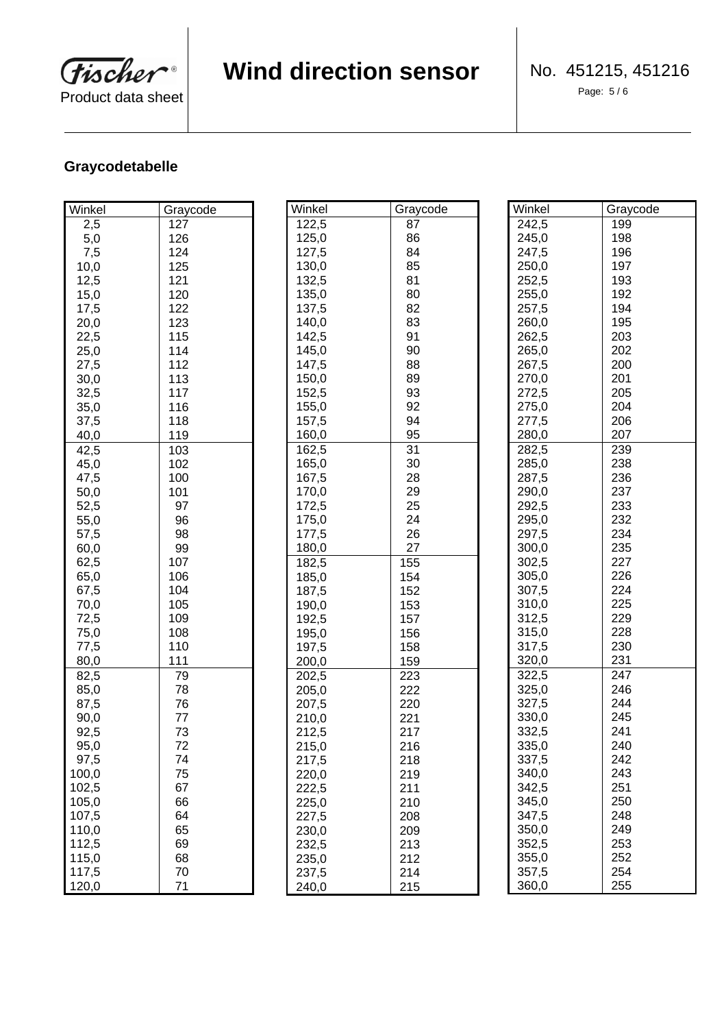**Fischer**  $\bullet$ Product data sheet

# **Wind direction sensor**

Page: 5 / 6

# **Graycodetabelle**

| Winkel | Graycode |
|--------|----------|
| 2,5    | 127      |
| 5,0    | 126      |
| 7,5    | 124      |
| 10,0   | 125      |
| 12,5   | 121      |
| 15,0   | 120      |
| 17,5   | 122      |
| 20,0   | 123      |
| 22,5   | 115      |
| 25,0   | 114      |
| 27,5   | 112      |
| 30,0   | 113      |
| 32,5   | 117      |
| 35,0   | 116      |
| 37,5   | 118      |
| 40,0   | 119      |
| 42,5   | 103      |
| 45,0   | 102      |
| 47,5   | 100      |
| 50,0   | 101      |
| 52,5   | 97       |
| 55,0   | 96       |
| 57,5   | 98       |
| 60,0   | 99       |
| 62,5   | 107      |
| 65,0   | 106      |
| 67,5   | 104      |
| 70,0   | 105      |
| 72,5   | 109      |
| 75,0   | 108      |
| 77,5   | 110      |
| 80,0   | 111      |
| 82,5   | 79       |
| 85,0   | 78       |
| 87,5   | 76       |
| 90,0   | 77       |
| 92,5   | 73       |
| 95,0   | 72       |
| 97,5   | 74       |
| 100,0  | 75       |
| 102,5  | 67       |
| 105,0  | 66       |
| 107,5  | 64       |
| 110,0  | 65       |
| 112,5  | 69       |
| 115,0  | 68       |
| 117,5  | 70       |
| 120,0  | 71       |

| Winkel | Graycode | Winkel | Graycode |
|--------|----------|--------|----------|
| 122,5  | 87       | 242,5  | 199      |
| 125,0  | 86       | 245,0  | 198      |
| 127,5  | 84       | 247,5  | 196      |
| 130,0  | 85       | 250,0  | 197      |
| 132,5  | 81       | 252,5  | 193      |
| 135,0  | 80       | 255,0  | 192      |
| 137,5  | 82       | 257,5  | 194      |
| 140,0  | 83       | 260,0  | 195      |
| 142,5  | 91       | 262,5  | 203      |
| 145,0  | 90       | 265,0  | 202      |
| 147,5  | 88       | 267,5  | 200      |
| 150,0  | 89       | 270,0  | 201      |
| 152,5  | 93       | 272,5  | 205      |
| 155,0  | 92       | 275,0  | 204      |
| 157,5  | 94       | 277,5  | 206      |
| 160,0  | 95       | 280,0  | 207      |
| 162,5  | 31       | 282,5  | 239      |
| 165,0  | 30       | 285,0  | 238      |
| 167,5  | 28       | 287,5  | 236      |
| 170,0  | 29       | 290,0  | 237      |
| 172,5  | 25       | 292,5  | 233      |
| 175,0  | 24       | 295,0  | 232      |
| 177,5  | 26       | 297,5  | 234      |
| 180,0  | 27       | 300,0  | 235      |
| 182,5  | 155      | 302,5  | 227      |
| 185,0  | 154      | 305,0  | 226      |
| 187,5  | 152      | 307,5  | 224      |
| 190,0  | 153      | 310,0  | 225      |
| 192,5  | 157      | 312,5  | 229      |
| 195,0  | 156      | 315,0  | 228      |
| 197,5  | 158      | 317,5  | 230      |
| 200,0  | 159      | 320,0  | 231      |
| 202,5  | 223      | 322,5  | 247      |
| 205,0  | 222      | 325,0  | 246      |
| 207,5  | 220      | 327,5  | 244      |
| 210,0  | 221      | 330,0  | 245      |
| 212,5  | 217      | 332,5  | 241      |
| 215,0  | 216      | 335,0  | 240      |
| 217,5  | 218      | 337,5  | 242      |
| 220,0  | 219      | 340,0  | 243      |
| 222,5  | 211      | 342,5  | 251      |
| 225,0  | 210      | 345,0  | 250      |
| 227,5  | 208      | 347,5  | 248      |
| 230,0  | 209      | 350,0  | 249      |
| 232,5  | 213      | 352,5  | 253      |
| 235,0  | 212      | 355,0  | 252      |
| 237,5  | 214      | 357,5  | 254      |
| 240,0  | 215      | 360,0  | 255      |
|        |          |        |          |